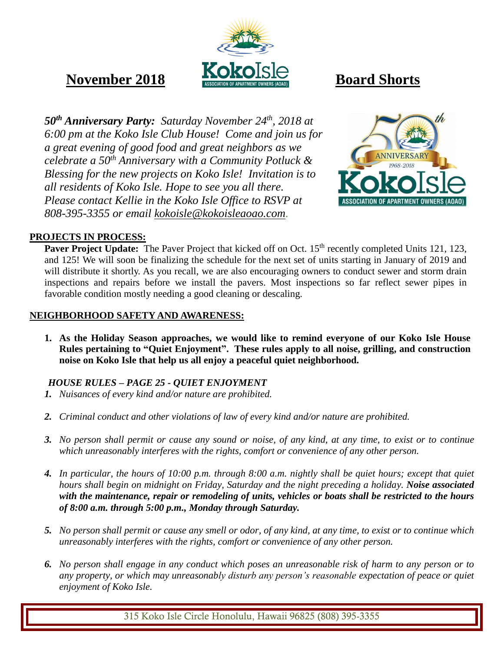

# **November 2018 Board Shorts**

*50th Anniversary Party: Saturday November 24th, 2018 at 6:00 pm at the Koko Isle Club House! Come and join us for a great evening of good food and great neighbors as we celebrate a 50th Anniversary with a Community Potluck & Blessing for the new projects on Koko Isle! Invitation is to all residents of Koko Isle. Hope to see you all there. Please contact Kellie in the Koko Isle Office to RSVP at 808-395-3355 or email [kokoisle@kokoisleaoao.com.](mailto:kokoisle@kokoisleaoao.com)*



### **PROJECTS IN PROCESS:**

**Paver Project Update:** The Paver Project that kicked off on Oct. 15<sup>th</sup> recently completed Units 121, 123, and 125! We will soon be finalizing the schedule for the next set of units starting in January of 2019 and will distribute it shortly. As you recall, we are also encouraging owners to conduct sewer and storm drain inspections and repairs before we install the pavers. Most inspections so far reflect sewer pipes in favorable condition mostly needing a good cleaning or descaling.

#### **NEIGHBORHOOD SAFETY AND AWARENESS:**

**1. As the Holiday Season approaches, we would like to remind everyone of our Koko Isle House Rules pertaining to "Quiet Enjoyment". These rules apply to all noise, grilling, and construction noise on Koko Isle that help us all enjoy a peaceful quiet neighborhood.**

### *HOUSE RULES – PAGE 25 - QUIET ENJOYMENT*

- *1. Nuisances of every kind and/or nature are prohibited.*
- *2. Criminal conduct and other violations of law of every kind and/or nature are prohibited.*
- *3. No person shall permit or cause any sound or noise, of any kind, at any time, to exist or to continue which unreasonably interferes with the rights, comfort or convenience of any other person.*
- *4. In particular, the hours of 10:00 p.m. through 8:00 a.m. nightly shall be quiet hours; except that quiet hours shall begin on midnight on Friday, Saturday and the night preceding a holiday. Noise associated with the maintenance, repair or remodeling of units, vehicles or boats shall be restricted to the hours of 8:00 a.m. through 5:00 p.m., Monday through Saturday.*
- *5. No person shall permit or cause any smell or odor, of any kind, at any time, to exist or to continue which unreasonably interferes with the rights, comfort or convenience of any other person.*
- *6. No person shall engage in any conduct which poses an unreasonable risk of harm to any person or to any property, or which may unreasonably disturb any person's reasonable expectation of peace or quiet enjoyment of Koko Isle.*

315 Koko Isle Circle Honolulu, Hawaii 96825 (808) 395-3355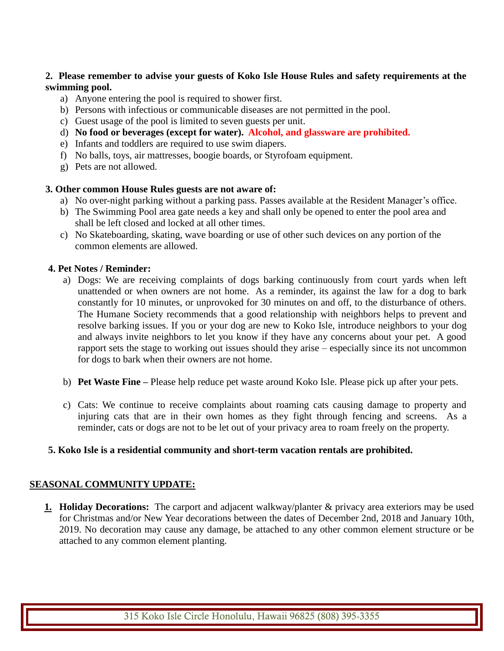#### **2. Please remember to advise your guests of Koko Isle House Rules and safety requirements at the swimming pool.**

- a) Anyone entering the pool is required to shower first.
- b) Persons with infectious or communicable diseases are not permitted in the pool.
- c) Guest usage of the pool is limited to seven guests per unit.
- d) **No food or beverages (except for water). Alcohol, and glassware are prohibited.**
- e) Infants and toddlers are required to use swim diapers.
- f) No balls, toys, air mattresses, boogie boards, or Styrofoam equipment.
- g) Pets are not allowed.

#### **3. Other common House Rules guests are not aware of:**

- a) No over-night parking without a parking pass. Passes available at the Resident Manager's office.
- b) The Swimming Pool area gate needs a key and shall only be opened to enter the pool area and shall be left closed and locked at all other times.
- c) No Skateboarding, skating, wave boarding or use of other such devices on any portion of the common elements are allowed.

#### **4. Pet Notes / Reminder:**

- a) Dogs: We are receiving complaints of dogs barking continuously from court yards when left unattended or when owners are not home. As a reminder, its against the law for a dog to bark constantly for 10 minutes, or unprovoked for 30 minutes on and off, to the disturbance of others. The Humane Society recommends that a good relationship with neighbors helps to prevent and resolve barking issues. If you or your dog are new to Koko Isle, introduce neighbors to your dog and always invite neighbors to let you know if they have any concerns about your pet. A good rapport sets the stage to working out issues should they arise – especially since its not uncommon for dogs to bark when their owners are not home.
- b) **Pet Waste Fine –** Please help reduce pet waste around Koko Isle. Please pick up after your pets.
- c) Cats: We continue to receive complaints about roaming cats causing damage to property and injuring cats that are in their own homes as they fight through fencing and screens. As a reminder, cats or dogs are not to be let out of your privacy area to roam freely on the property.

#### **5. Koko Isle is a residential community and short-term vacation rentals are prohibited.**

#### **SEASONAL COMMUNITY UPDATE:**

**1. Holiday Decorations:** The carport and adjacent walkway/planter & privacy area exteriors may be used for Christmas and/or New Year decorations between the dates of December 2nd, 2018 and January 10th, 2019. No decoration may cause any damage, be attached to any other common element structure or be attached to any common element planting.